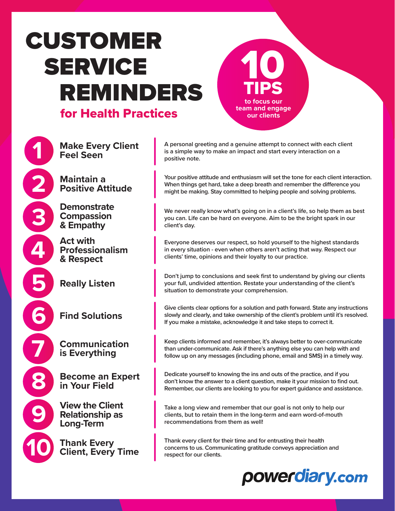## CUSTOMER SERVICE REMINDERS for Health Practices



**Make Every Client Feel Seen**

**1**

**2**

**3**

**4**

**5**

**6**

**8**

**7**

**9**

**10**

**Maintain a Positive Attitude**

**Demonstrate Compassion & Empathy**

**Act with Professionalism & Respect**

**Really Listen**

**Find Solutions**

**Communication is Everything**

**Become an Expert in Your Field**

**View the Client Relationship as Long-Term**

**Thank Every Client, Every Time**

**A personal greeting and a genuine attempt to connect with each client is a simple way to make an impact and start every interaction on a positive note.**

**Your positive attitude and enthusiasm will set the tone for each client interaction. When things get hard, take a deep breath and remember the difference you might be making. Stay committed to helping people and solving problems.**

**We never really know what's going on in a client's life, so help them as best you can. Life can be hard on everyone. Aim to be the bright spark in our client's day.**

**Everyone deserves our respect, so hold yourself to the highest standards in every situation - even when others aren't acting that way. Respect our clients' time, opinions and their loyalty to our practice.**

**Don't jump to conclusions and seek first to understand by giving our clients your full, undivided attention. Restate your understanding of the client's situation to demonstrate your comprehension.**

**Give clients clear options for a solution and path forward. State any instructions slowly and clearly, and take ownership of the client's problem until it's resolved. If you make a mistake, acknowledge it and take steps to correct it.**

**Keep clients informed and remember, it's always better to over-communicate than under-communicate. Ask if there's anything else you can help with and follow up on any messages (including phone, email and SMS) in a timely way.** 

**Dedicate yourself to knowing the ins and outs of the practice, and if you don't know the answer to a client question, make it your mission to find out. Remember, our clients are looking to you for expert guidance and assistance.**

**Take a long view and remember that our goal is not only to help our clients, but to retain them in the long-term and earn word-of-mouth recommendations from them as well!**

**Thank every client for their time and for entrusting their health concerns to us. Communicating gratitude conveys appreciation and respect for our clients.**